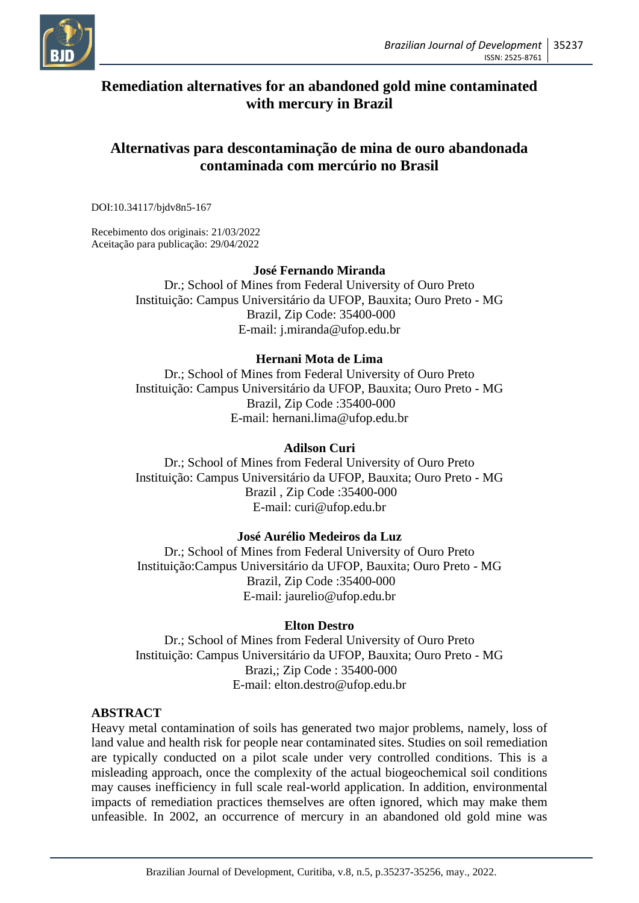

# **Remediation alternatives for an abandoned gold mine contaminated with mercury in Brazil**

## **Alternativas para descontaminação de mina de ouro abandonada contaminada com mercúrio no Brasil**

DOI:10.34117/bjdv8n5-167

Recebimento dos originais: 21/03/2022 Aceitação para publicação: 29/04/2022

#### **José Fernando Miranda**

Dr.; School of Mines from Federal University of Ouro Preto Instituição: Campus Universitário da UFOP, Bauxita; Ouro Preto - MG Brazil, Zip Code: 35400-000 E-mail: j.miranda@ufop.edu.br

### **Hernani Mota de Lima**

Dr.; School of Mines from Federal University of Ouro Preto Instituição: Campus Universitário da UFOP, Bauxita; Ouro Preto - MG Brazil, Zip Code :35400-000 E-mail: hernani.lima@ufop.edu.br

#### **Adilson Curi**

Dr.; School of Mines from Federal University of Ouro Preto Instituição: Campus Universitário da UFOP, Bauxita; Ouro Preto - MG Brazil , Zip Code :35400-000 E-mail: curi@ufop.edu.br

#### **José Aurélio Medeiros da Luz**

Dr.; School of Mines from Federal University of Ouro Preto Instituição:Campus Universitário da UFOP, Bauxita; Ouro Preto - MG Brazil, Zip Code :35400-000 E-mail: jaurelio@ufop.edu.br

#### **Elton Destro**

Dr.; School of Mines from Federal University of Ouro Preto Instituição: Campus Universitário da UFOP, Bauxita; Ouro Preto - MG Brazi,; Zip Code : 35400-000 E-mail: elton.destro@ufop.edu.br

#### **ABSTRACT**

Heavy metal contamination of soils has generated two major problems, namely, loss of land value and health risk for people near contaminated sites. Studies on soil remediation are typically conducted on a pilot scale under very controlled conditions. This is a misleading approach, once the complexity of the actual biogeochemical soil conditions may causes inefficiency in full scale real-world application. In addition, environmental impacts of remediation practices themselves are often ignored, which may make them unfeasible. In 2002, an occurrence of mercury in an abandoned old gold mine was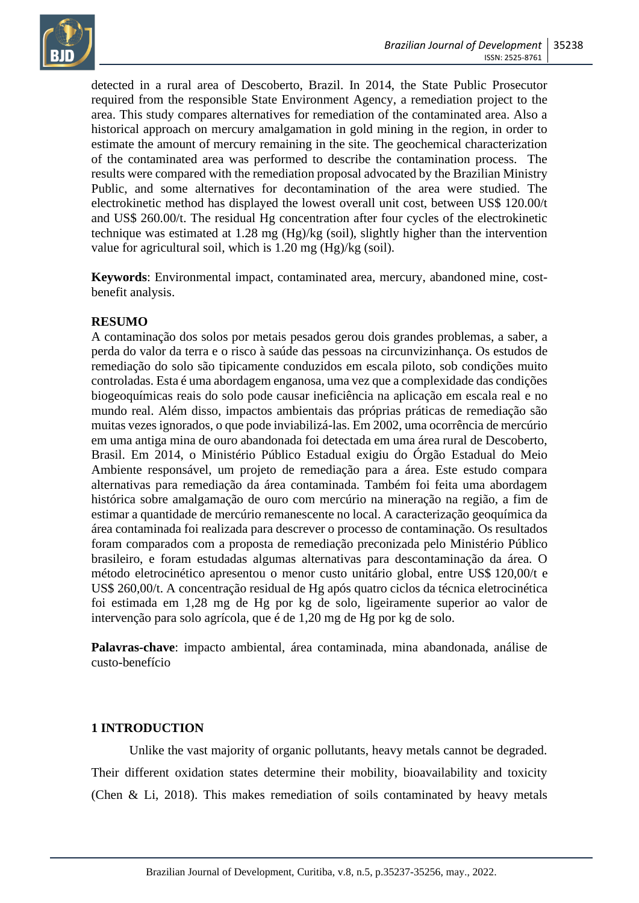

detected in a rural area of Descoberto, Brazil. In 2014, the State Public Prosecutor required from the responsible State Environment Agency, a remediation project to the area. This study compares alternatives for remediation of the contaminated area. Also a historical approach on mercury amalgamation in gold mining in the region, in order to estimate the amount of mercury remaining in the site. The geochemical characterization of the contaminated area was performed to describe the contamination process. The results were compared with the remediation proposal advocated by the Brazilian Ministry Public, and some alternatives for decontamination of the area were studied. The electrokinetic method has displayed the lowest overall unit cost, between US\$ 120.00/t and US\$ 260.00/t. The residual Hg concentration after four cycles of the electrokinetic technique was estimated at 1.28 mg (Hg)/kg (soil), slightly higher than the intervention value for agricultural soil, which is 1.20 mg (Hg)/kg (soil).

**Keywords**: Environmental impact, contaminated area, mercury, abandoned mine, costbenefit analysis.

## **RESUMO**

A contaminação dos solos por metais pesados gerou dois grandes problemas, a saber, a perda do valor da terra e o risco à saúde das pessoas na circunvizinhança. Os estudos de remediação do solo são tipicamente conduzidos em escala piloto, sob condições muito controladas. Esta é uma abordagem enganosa, uma vez que a complexidade das condições biogeoquímicas reais do solo pode causar ineficiência na aplicação em escala real e no mundo real. Além disso, impactos ambientais das próprias práticas de remediação são muitas vezes ignorados, o que pode inviabilizá-las. Em 2002, uma ocorrência de mercúrio em uma antiga mina de ouro abandonada foi detectada em uma área rural de Descoberto, Brasil. Em 2014, o Ministério Público Estadual exigiu do Órgão Estadual do Meio Ambiente responsável, um projeto de remediação para a área. Este estudo compara alternativas para remediação da área contaminada. Também foi feita uma abordagem histórica sobre amalgamação de ouro com mercúrio na mineração na região, a fim de estimar a quantidade de mercúrio remanescente no local. A caracterização geoquímica da área contaminada foi realizada para descrever o processo de contaminação. Os resultados foram comparados com a proposta de remediação preconizada pelo Ministério Público brasileiro, e foram estudadas algumas alternativas para descontaminação da área. O método eletrocinético apresentou o menor custo unitário global, entre US\$ 120,00/t e US\$ 260,00/t. A concentração residual de Hg após quatro ciclos da técnica eletrocinética foi estimada em 1,28 mg de Hg por kg de solo, ligeiramente superior ao valor de intervenção para solo agrícola, que é de 1,20 mg de Hg por kg de solo.

**Palavras-chave**: impacto ambiental, área contaminada, mina abandonada, análise de custo-benefício

## **1 INTRODUCTION**

Unlike the vast majority of organic pollutants, heavy metals cannot be degraded. Their different oxidation states determine their mobility, bioavailability and toxicity (Chen & Li, 2018). This makes remediation of soils contaminated by heavy metals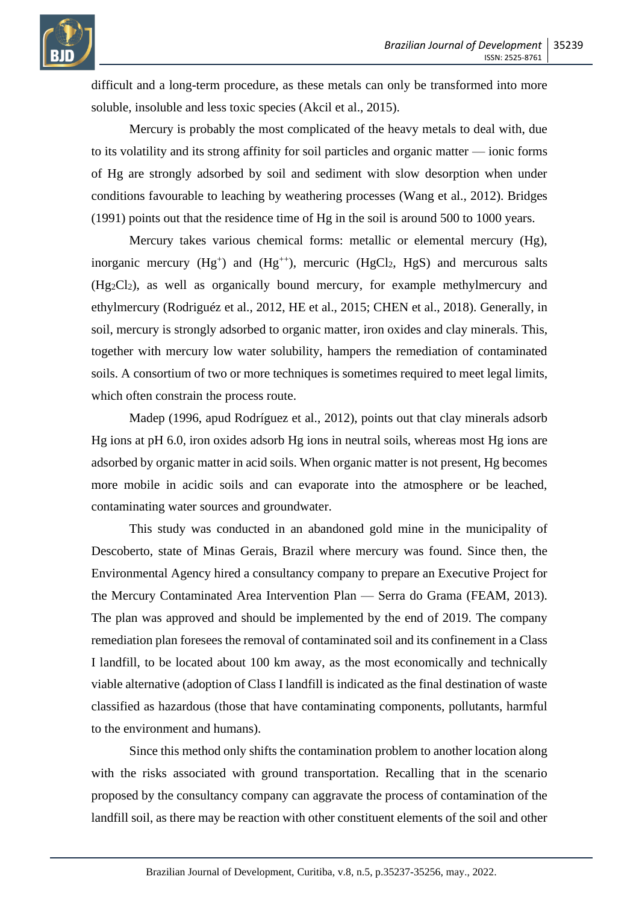

difficult and a long-term procedure, as these metals can only be transformed into more soluble, insoluble and less toxic species (Akcil et al., 2015).

Mercury is probably the most complicated of the heavy metals to deal with, due to its volatility and its strong affinity for soil particles and organic matter — ionic forms of Hg are strongly adsorbed by soil and sediment with slow desorption when under conditions favourable to leaching by weathering processes (Wang et al., 2012). Bridges (1991) points out that the residence time of Hg in the soil is around 500 to 1000 years.

Mercury takes various chemical forms: metallic or elemental mercury (Hg), inorganic mercury  $(Hg<sup>+</sup>)$  and  $(Hg<sup>++</sup>)$ , mercuric  $(HgCl<sub>2</sub>, HgS)$  and mercurous salts  $(Hg_2Cl_2)$ , as well as organically bound mercury, for example methylmercury and ethylmercury (Rodriguéz et al., 2012, HE et al., 2015; CHEN et al., 2018). Generally, in soil, mercury is strongly adsorbed to organic matter, iron oxides and clay minerals. This, together with mercury low water solubility, hampers the remediation of contaminated soils. A consortium of two or more techniques is sometimes required to meet legal limits, which often constrain the process route.

Madep (1996, apud Rodríguez et al., 2012), points out that clay minerals adsorb Hg ions at pH 6.0, iron oxides adsorb Hg ions in neutral soils, whereas most Hg ions are adsorbed by organic matter in acid soils. When organic matter is not present, Hg becomes more mobile in acidic soils and can evaporate into the atmosphere or be leached, contaminating water sources and groundwater.

This study was conducted in an abandoned gold mine in the municipality of Descoberto, state of Minas Gerais, Brazil where mercury was found. Since then, the Environmental Agency hired a consultancy company to prepare an Executive Project for the Mercury Contaminated Area Intervention Plan — Serra do Grama (FEAM, 2013). The plan was approved and should be implemented by the end of 2019. The company remediation plan foresees the removal of contaminated soil and its confinement in a Class I landfill, to be located about 100 km away, as the most economically and technically viable alternative (adoption of Class I landfill is indicated as the final destination of waste classified as hazardous (those that have contaminating components, pollutants, harmful to the environment and humans).

Since this method only shifts the contamination problem to another location along with the risks associated with ground transportation. Recalling that in the scenario proposed by the consultancy company can aggravate the process of contamination of the landfill soil, as there may be reaction with other constituent elements of the soil and other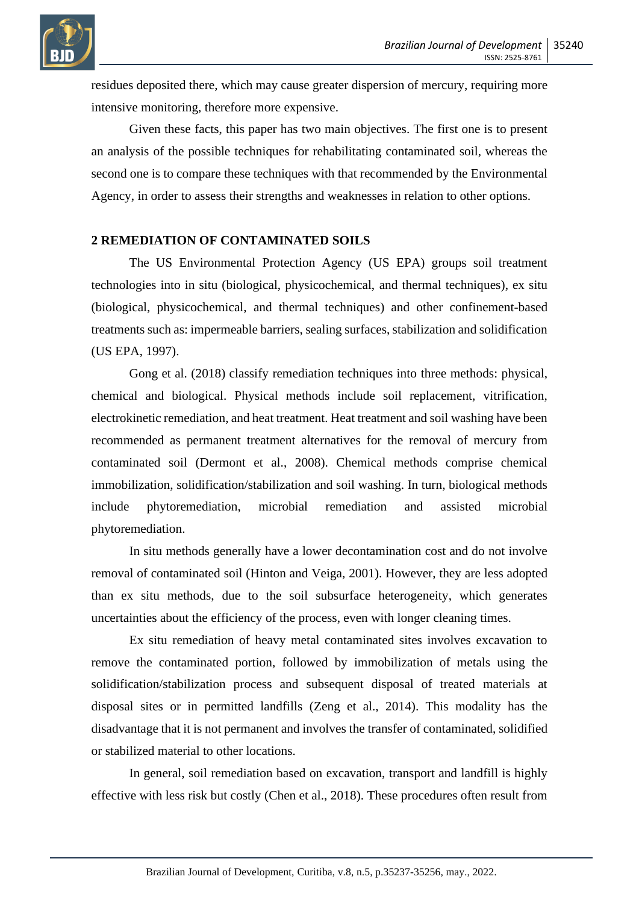

residues deposited there, which may cause greater dispersion of mercury, requiring more intensive monitoring, therefore more expensive.

Given these facts, this paper has two main objectives. The first one is to present an analysis of the possible techniques for rehabilitating contaminated soil, whereas the second one is to compare these techniques with that recommended by the Environmental Agency, in order to assess their strengths and weaknesses in relation to other options.

### **2 REMEDIATION OF CONTAMINATED SOILS**

The US Environmental Protection Agency (US EPA) groups soil treatment technologies into in situ (biological, physicochemical, and thermal techniques), ex situ (biological, physicochemical, and thermal techniques) and other confinement-based treatments such as: impermeable barriers, sealing surfaces, stabilization and solidification (US EPA, 1997).

Gong et al. (2018) classify remediation techniques into three methods: physical, chemical and biological. Physical methods include soil replacement, vitrification, electrokinetic remediation, and heat treatment. Heat treatment and soil washing have been recommended as permanent treatment alternatives for the removal of mercury from contaminated soil (Dermont et al., 2008). Chemical methods comprise chemical immobilization, solidification/stabilization and soil washing. In turn, biological methods include phytoremediation, microbial remediation and assisted microbial phytoremediation.

In situ methods generally have a lower decontamination cost and do not involve removal of contaminated soil (Hinton and Veiga, 2001). However, they are less adopted than ex situ methods, due to the soil subsurface heterogeneity, which generates uncertainties about the efficiency of the process, even with longer cleaning times.

Ex situ remediation of heavy metal contaminated sites involves excavation to remove the contaminated portion, followed by immobilization of metals using the solidification/stabilization process and subsequent disposal of treated materials at disposal sites or in permitted landfills (Zeng et al., 2014). This modality has the disadvantage that it is not permanent and involves the transfer of contaminated, solidified or stabilized material to other locations.

In general, soil remediation based on excavation, transport and landfill is highly effective with less risk but costly (Chen et al., 2018). These procedures often result from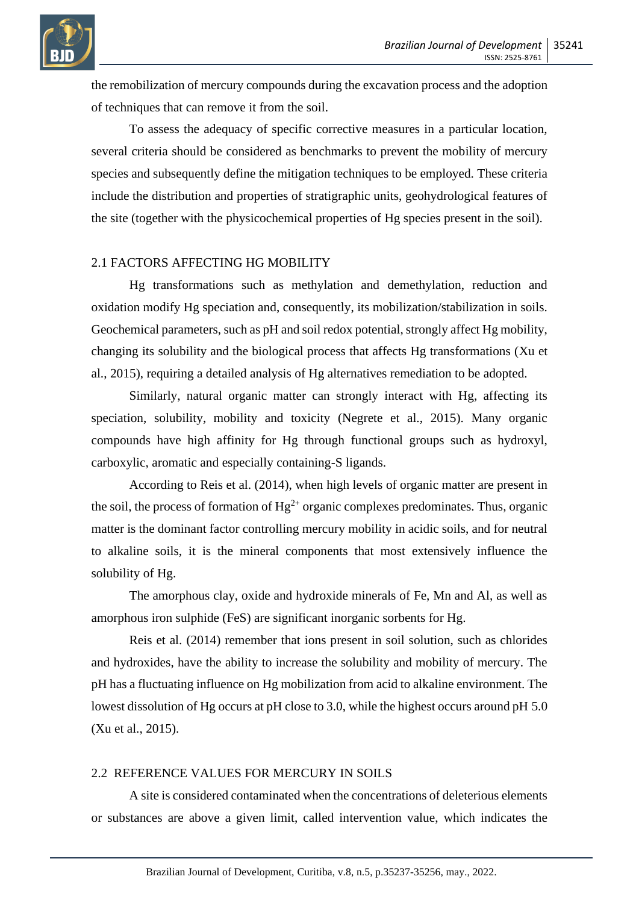

the remobilization of mercury compounds during the excavation process and the adoption of techniques that can remove it from the soil.

To assess the adequacy of specific corrective measures in a particular location, several criteria should be considered as benchmarks to prevent the mobility of mercury species and subsequently define the mitigation techniques to be employed. These criteria include the distribution and properties of stratigraphic units, geohydrological features of the site (together with the physicochemical properties of Hg species present in the soil).

#### 2.1 FACTORS AFFECTING HG MOBILITY

Hg transformations such as methylation and demethylation, reduction and oxidation modify Hg speciation and, consequently, its mobilization/stabilization in soils. Geochemical parameters, such as pH and soil redox potential, strongly affect Hg mobility, changing its solubility and the biological process that affects Hg transformations (Xu et al., 2015), requiring a detailed analysis of Hg alternatives remediation to be adopted.

Similarly, natural organic matter can strongly interact with Hg, affecting its speciation, solubility, mobility and toxicity (Negrete et al., 2015). Many organic compounds have high affinity for Hg through functional groups such as hydroxyl, carboxylic, aromatic and especially containing-S ligands.

According to Reis et al. (2014), when high levels of organic matter are present in the soil, the process of formation of  $Hg^{2+}$  organic complexes predominates. Thus, organic matter is the dominant factor controlling mercury mobility in acidic soils, and for neutral to alkaline soils, it is the mineral components that most extensively influence the solubility of Hg.

The amorphous clay, oxide and hydroxide minerals of Fe, Mn and Al, as well as amorphous iron sulphide (FeS) are significant inorganic sorbents for Hg.

Reis et al. (2014) remember that ions present in soil solution, such as chlorides and hydroxides, have the ability to increase the solubility and mobility of mercury. The pH has a fluctuating influence on Hg mobilization from acid to alkaline environment. The lowest dissolution of Hg occurs at pH close to 3.0, while the highest occurs around pH 5.0 (Xu et al., 2015).

#### 2.2 REFERENCE VALUES FOR MERCURY IN SOILS

A site is considered contaminated when the concentrations of deleterious elements or substances are above a given limit, called intervention value, which indicates the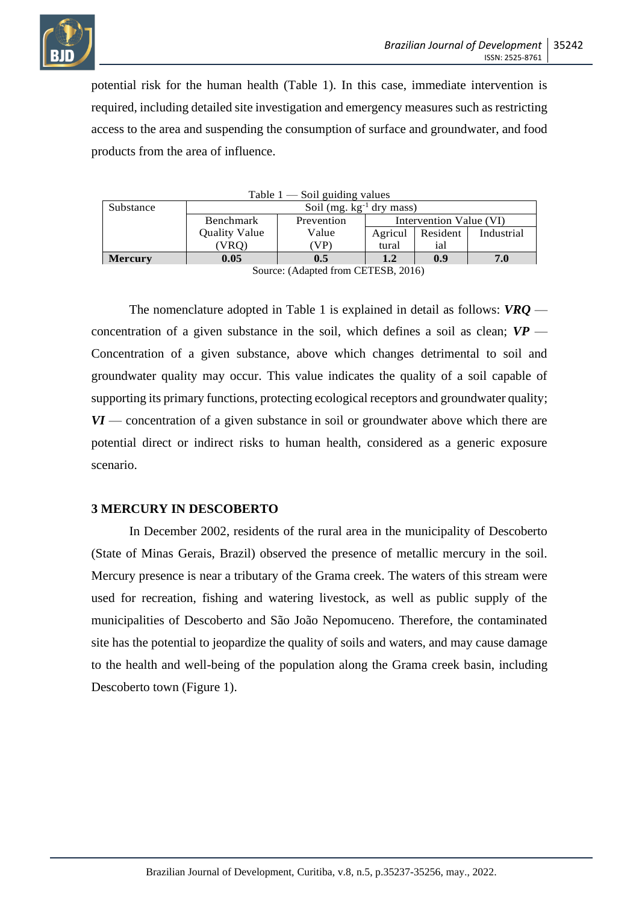

potential risk for the human health (Table 1). In this case, immediate intervention is required, including detailed site investigation and emergency measures such as restricting access to the area and suspending the consumption of surface and groundwater, and food products from the area of influence.

| Table $1$ — Soil guiding values |                                                    |       |         |          |            |
|---------------------------------|----------------------------------------------------|-------|---------|----------|------------|
| Substance                       | Soil (mg. $kg^{-1}$ dry mass)                      |       |         |          |            |
|                                 | Benchmark<br>Prevention<br>Intervention Value (VI) |       |         |          |            |
|                                 | <b>Quality Value</b>                               | Value | Agricul | Resident | Industrial |
|                                 | (VRO)                                              | (VP)  | tural   | ial      |            |
| Mercury                         | 0.05                                               | 0.5   | $1.2\,$ | 0.9      | 7.0        |

Source: (Adapted from CETESB, 2016)

The nomenclature adopted in Table 1 is explained in detail as follows: *VRQ* concentration of a given substance in the soil, which defines a soil as clean;  $VP$  — Concentration of a given substance, above which changes detrimental to soil and groundwater quality may occur. This value indicates the quality of a soil capable of supporting its primary functions, protecting ecological receptors and groundwater quality; *VI* — concentration of a given substance in soil or groundwater above which there are potential direct or indirect risks to human health, considered as a generic exposure scenario.

#### **3 MERCURY IN DESCOBERTO**

In December 2002, residents of the rural area in the municipality of Descoberto (State of Minas Gerais, Brazil) observed the presence of metallic mercury in the soil. Mercury presence is near a tributary of the Grama creek. The waters of this stream were used for recreation, fishing and watering livestock, as well as public supply of the municipalities of Descoberto and São João Nepomuceno. Therefore, the contaminated site has the potential to jeopardize the quality of soils and waters, and may cause damage to the health and well-being of the population along the Grama creek basin, including Descoberto town (Figure 1).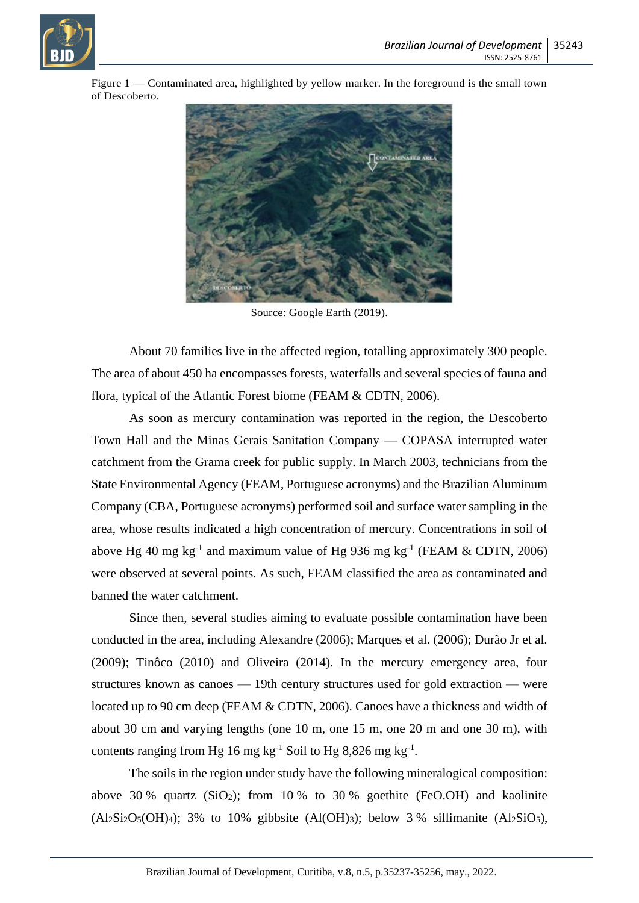

Figure 1 — Contaminated area, highlighted by yellow marker. In the foreground is the small town of Descoberto.



Source: Google Earth (2019).

About 70 families live in the affected region, totalling approximately 300 people. The area of about 450 ha encompasses forests, waterfalls and several species of fauna and flora, typical of the Atlantic Forest biome (FEAM & CDTN, 2006).

As soon as mercury contamination was reported in the region, the Descoberto Town Hall and the Minas Gerais Sanitation Company — COPASA interrupted water catchment from the Grama creek for public supply. In March 2003, technicians from the State Environmental Agency (FEAM, Portuguese acronyms) and the Brazilian Aluminum Company (CBA, Portuguese acronyms) performed soil and surface water sampling in the area, whose results indicated a high concentration of mercury. Concentrations in soil of above Hg 40 mg  $kg^{-1}$  and maximum value of Hg 936 mg  $kg^{-1}$  (FEAM & CDTN, 2006) were observed at several points. As such, FEAM classified the area as contaminated and banned the water catchment.

Since then, several studies aiming to evaluate possible contamination have been conducted in the area, including Alexandre (2006); Marques et al. (2006); Durão Jr et al. (2009); Tinôco (2010) and Oliveira (2014). In the mercury emergency area, four structures known as canoes — 19th century structures used for gold extraction — were located up to 90 cm deep (FEAM & CDTN, 2006). Canoes have a thickness and width of about 30 cm and varying lengths (one 10 m, one 15 m, one 20 m and one 30 m), with contents ranging from Hg 16 mg  $kg^{-1}$  Soil to Hg 8,826 mg  $kg^{-1}$ .

The soils in the region under study have the following mineralogical composition: above 30 % quartz  $(SiO<sub>2</sub>)$ ; from 10 % to 30 % goethite (FeO.OH) and kaolinite  $(Al_2Si_2O_5(OH)_4)$ ; 3% to 10% gibbsite  $(AI(OH)_3)$ ; below 3% sillimanite  $(Al_2SiO_5)$ ,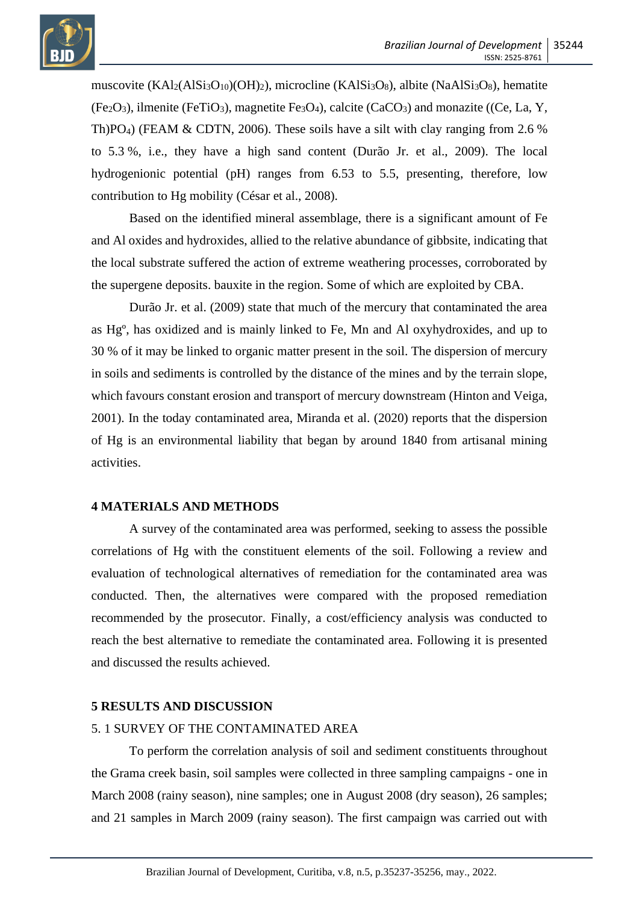

muscovite  $(KAl_2(AlSi_3O_{10})(OH)_2)$ , microcline  $(KAlSi_3O_8)$ , albite (NaAlSi<sub>3</sub>O<sub>8</sub>), hematite  $(Fe_2O_3)$ , ilmenite (FeTiO<sub>3</sub>), magnetite Fe<sub>3</sub>O<sub>4</sub>), calcite (CaCO<sub>3</sub>) and monazite ((Ce, La, Y, Th)PO4) (FEAM & CDTN, 2006). These soils have a silt with clay ranging from 2.6 % to 5.3 %, i.e., they have a high sand content (Durão Jr. et al., 2009). The local hydrogenionic potential (pH) ranges from 6.53 to 5.5, presenting, therefore, low contribution to Hg mobility (César et al., 2008).

Based on the identified mineral assemblage, there is a significant amount of Fe and Al oxides and hydroxides, allied to the relative abundance of gibbsite, indicating that the local substrate suffered the action of extreme weathering processes, corroborated by the supergene deposits. bauxite in the region. Some of which are exploited by CBA.

Durão Jr. et al. (2009) state that much of the mercury that contaminated the area as Hgº, has oxidized and is mainly linked to Fe, Mn and Al oxyhydroxides, and up to 30 % of it may be linked to organic matter present in the soil. The dispersion of mercury in soils and sediments is controlled by the distance of the mines and by the terrain slope, which favours constant erosion and transport of mercury downstream (Hinton and Veiga, 2001). In the today contaminated area, Miranda et al. (2020) reports that the dispersion of Hg is an environmental liability that began by around 1840 from artisanal mining activities.

#### **4 MATERIALS AND METHODS**

A survey of the contaminated area was performed, seeking to assess the possible correlations of Hg with the constituent elements of the soil. Following a review and evaluation of technological alternatives of remediation for the contaminated area was conducted. Then, the alternatives were compared with the proposed remediation recommended by the prosecutor. Finally, a cost/efficiency analysis was conducted to reach the best alternative to remediate the contaminated area. Following it is presented and discussed the results achieved.

## **5 RESULTS AND DISCUSSION**

#### 5. 1 SURVEY OF THE CONTAMINATED AREA

To perform the correlation analysis of soil and sediment constituents throughout the Grama creek basin, soil samples were collected in three sampling campaigns - one in March 2008 (rainy season), nine samples; one in August 2008 (dry season), 26 samples; and 21 samples in March 2009 (rainy season). The first campaign was carried out with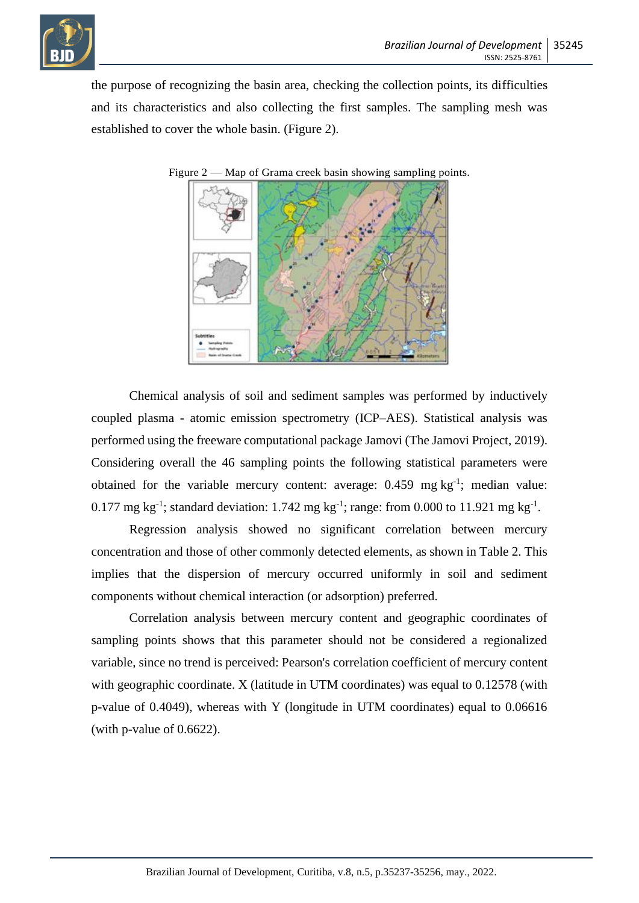

the purpose of recognizing the basin area, checking the collection points, its difficulties and its characteristics and also collecting the first samples. The sampling mesh was established to cover the whole basin. (Figure 2).



Figure 2 — Map of Grama creek basin showing sampling points.

Chemical analysis of soil and sediment samples was performed by inductively coupled plasma - atomic emission spectrometry (ICP–AES). Statistical analysis was performed using the freeware computational package Jamovi (The Jamovi Project, 2019). Considering overall the 46 sampling points the following statistical parameters were obtained for the variable mercury content: average:  $0.459$  mg kg<sup>-1</sup>; median value: 0.177 mg kg<sup>-1</sup>; standard deviation: 1.742 mg kg<sup>-1</sup>; range: from 0.000 to 11.921 mg kg<sup>-1</sup>.

Regression analysis showed no significant correlation between mercury concentration and those of other commonly detected elements, as shown in Table 2. This implies that the dispersion of mercury occurred uniformly in soil and sediment components without chemical interaction (or adsorption) preferred.

Correlation analysis between mercury content and geographic coordinates of sampling points shows that this parameter should not be considered a regionalized variable, since no trend is perceived: Pearson's correlation coefficient of mercury content with geographic coordinate. X (latitude in UTM coordinates) was equal to 0.12578 (with p-value of 0.4049), whereas with Y (longitude in UTM coordinates) equal to 0.06616 (with p-value of 0.6622).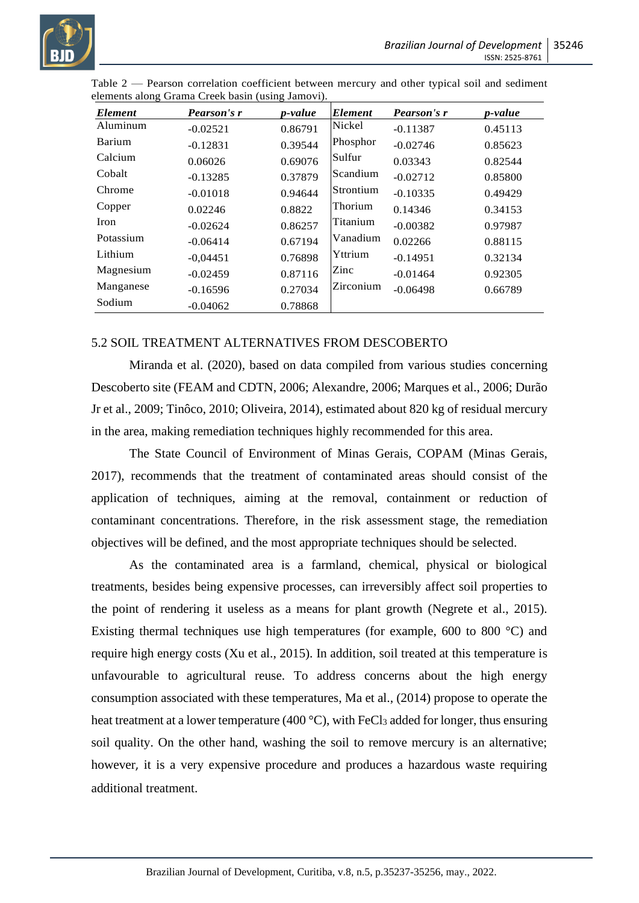

| <b>Element</b> | <b>Pearson's r</b> | <i>p</i> -value | <b>Element</b>   | Pearson's r | <i>p</i> -value |
|----------------|--------------------|-----------------|------------------|-------------|-----------------|
| Aluminum       | $-0.02521$         | 0.86791         | Nickel           | $-0.11387$  | 0.45113         |
| Barium         | $-0.12831$         | 0.39544         | Phosphor         | $-0.02746$  | 0.85623         |
| Calcium        | 0.06026            | 0.69076         | Sulfur           | 0.03343     | 0.82544         |
| Cobalt         | $-0.13285$         | 0.37879         | Scandium         | $-0.02712$  | 0.85800         |
| Chrome         | $-0.01018$         | 0.94644         | Strontium        | $-0.10335$  | 0.49429         |
| Copper         | 0.02246            | 0.8822          | Thorium          | 0.14346     | 0.34153         |
| <b>Iron</b>    | $-0.02624$         | 0.86257         | Titanium         | $-0.00382$  | 0.97987         |
| Potassium      | $-0.06414$         | 0.67194         | Vanadium         | 0.02266     | 0.88115         |
| Lithium        | $-0,04451$         | 0.76898         | Yttrium          | $-0.14951$  | 0.32134         |
| Magnesium      | $-0.02459$         | 0.87116         | Zinc             | $-0.01464$  | 0.92305         |
| Manganese      | $-0.16596$         | 0.27034         | <b>Zirconium</b> | $-0.06498$  | 0.66789         |
| Sodium         | $-0.04062$         | 0.78868         |                  |             |                 |

Table 2 — Pearson correlation coefficient between mercury and other typical soil and sediment elements along Grama Creek basin (using Jamovi).

#### 5.2 SOIL TREATMENT ALTERNATIVES FROM DESCOBERTO

Miranda et al. (2020), based on data compiled from various studies concerning Descoberto site (FEAM and CDTN, 2006; Alexandre, 2006; Marques et al., 2006; Durão Jr et al., 2009; Tinôco, 2010; Oliveira, 2014), estimated about 820 kg of residual mercury in the area, making remediation techniques highly recommended for this area.

The State Council of Environment of Minas Gerais, COPAM (Minas Gerais, 2017), recommends that the treatment of contaminated areas should consist of the application of techniques, aiming at the removal, containment or reduction of contaminant concentrations. Therefore, in the risk assessment stage, the remediation objectives will be defined, and the most appropriate techniques should be selected.

As the contaminated area is a farmland, chemical, physical or biological treatments, besides being expensive processes, can irreversibly affect soil properties to the point of rendering it useless as a means for plant growth (Negrete et al., 2015). Existing thermal techniques use high temperatures (for example, 600 to 800 °C) and require high energy costs (Xu et al., 2015). In addition, soil treated at this temperature is unfavourable to agricultural reuse. To address concerns about the high energy consumption associated with these temperatures, Ma et al., (2014) propose to operate the heat treatment at a lower temperature (400  $^{\circ}$ C), with FeCl<sub>3</sub> added for longer, thus ensuring soil quality. On the other hand, washing the soil to remove mercury is an alternative; however, it is a very expensive procedure and produces a hazardous waste requiring additional treatment.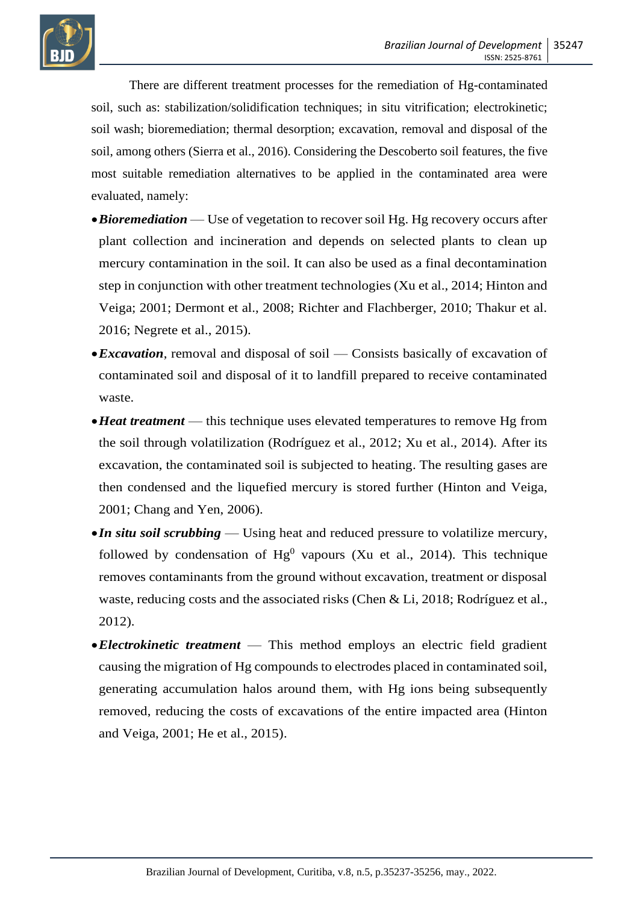

There are different treatment processes for the remediation of Hg-contaminated soil, such as: stabilization/solidification techniques; in situ vitrification; electrokinetic; soil wash; bioremediation; thermal desorption; excavation, removal and disposal of the soil, among others (Sierra et al., 2016). Considering the Descoberto soil features, the five most suitable remediation alternatives to be applied in the contaminated area were evaluated, namely:

- •*Bioremediation* Use of vegetation to recover soil Hg. Hg recovery occurs after plant collection and incineration and depends on selected plants to clean up mercury contamination in the soil. It can also be used as a final decontamination step in conjunction with other treatment technologies (Xu et al., 2014; Hinton and Veiga; 2001; Dermont et al., 2008; Richter and Flachberger, 2010; Thakur et al. 2016; Negrete et al., 2015).
- •*Excavation*, removal and disposal of soil Consists basically of excavation of contaminated soil and disposal of it to landfill prepared to receive contaminated waste.
- •*Heat treatment* this technique uses elevated temperatures to remove Hg from the soil through volatilization (Rodríguez et al., 2012; Xu et al., 2014). After its excavation, the contaminated soil is subjected to heating. The resulting gases are then condensed and the liquefied mercury is stored further (Hinton and Veiga, 2001; Chang and Yen, 2006).
- •*In situ soil scrubbing* Using heat and reduced pressure to volatilize mercury, followed by condensation of  $Hg^0$  vapours (Xu et al., 2014). This technique removes contaminants from the ground without excavation, treatment or disposal waste, reducing costs and the associated risks (Chen & Li, 2018; Rodríguez et al., 2012).
- •*Electrokinetic treatment* This method employs an electric field gradient causing the migration of Hg compounds to electrodes placed in contaminated soil, generating accumulation halos around them, with Hg ions being subsequently removed, reducing the costs of excavations of the entire impacted area (Hinton and Veiga, 2001; He et al., 2015).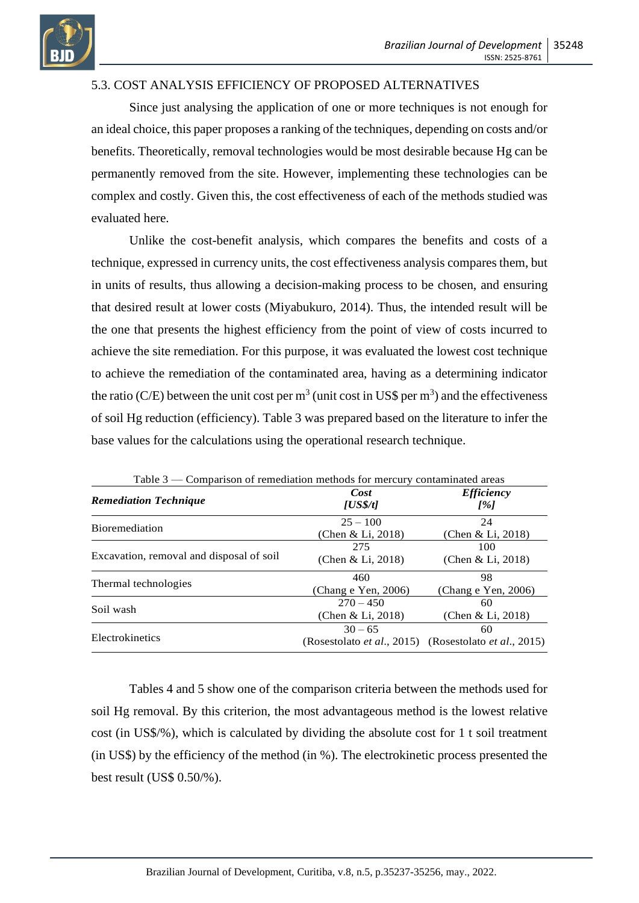

#### 5.3. COST ANALYSIS EFFICIENCY OF PROPOSED ALTERNATIVES

Since just analysing the application of one or more techniques is not enough for an ideal choice, this paper proposes a ranking of the techniques, depending on costs and/or benefits. Theoretically, removal technologies would be most desirable because Hg can be permanently removed from the site. However, implementing these technologies can be complex and costly. Given this, the cost effectiveness of each of the methods studied was evaluated here.

Unlike the cost-benefit analysis, which compares the benefits and costs of a technique, expressed in currency units, the cost effectiveness analysis compares them, but in units of results, thus allowing a decision-making process to be chosen, and ensuring that desired result at lower costs (Miyabukuro, 2014). Thus, the intended result will be the one that presents the highest efficiency from the point of view of costs incurred to achieve the site remediation. For this purpose, it was evaluated the lowest cost technique to achieve the remediation of the contaminated area, having as a determining indicator the ratio (C/E) between the unit cost per  $m<sup>3</sup>$  (unit cost in US\$ per  $m<sup>3</sup>$ ) and the effectiveness of soil Hg reduction (efficiency). Table 3 was prepared based on the literature to infer the base values for the calculations using the operational research technique.

| Table 3 — Comparison of remediation methods for mercury contaminated areas |                                  |                                                                             |  |  |
|----------------------------------------------------------------------------|----------------------------------|-----------------------------------------------------------------------------|--|--|
| <b>Remediation Technique</b>                                               | Cost<br>[US\$/t]                 | <i>Efficiency</i><br>1%1                                                    |  |  |
| <b>Bioremediation</b>                                                      | $25 - 100$<br>(Chen & Li, 2018)  | 24<br>(Chen & Li, 2018)                                                     |  |  |
| Excavation, removal and disposal of soil                                   | 275<br>(Chen & Li, 2018)         | 100<br>(Chen & Li, 2018)                                                    |  |  |
| Thermal technologies                                                       | 460<br>(Chang e Yen, 2006)       | 98<br>(Chang e Yen, 2006)                                                   |  |  |
| Soil wash                                                                  | $270 - 450$<br>(Chen & Li, 2018) | 60<br>(Chen & Li, 2018)                                                     |  |  |
| Electrokinetics                                                            | $30 - 65$                        | 60<br>(Rosestolato <i>et al.</i> , 2015) (Rosestolato <i>et al.</i> , 2015) |  |  |

Tables 4 and 5 show one of the comparison criteria between the methods used for soil Hg removal. By this criterion, the most advantageous method is the lowest relative cost (in US\$/%), which is calculated by dividing the absolute cost for 1 t soil treatment (in US\$) by the efficiency of the method (in %). The electrokinetic process presented the best result (US\$ 0.50/%).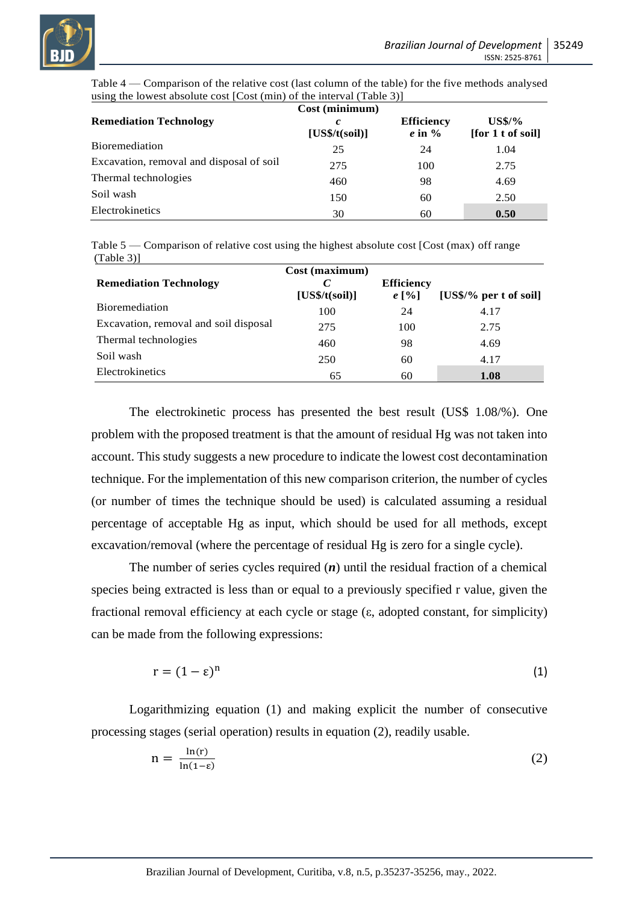|                                          | Cost (minimum)                     |                                  |                                    |
|------------------------------------------|------------------------------------|----------------------------------|------------------------------------|
| <b>Remediation Technology</b>            | $\boldsymbol{c}$<br>[US\$/t(soil)] | <b>Efficiency</b><br>$e$ in $\%$ | <b>US\$/%</b><br>[for 1 t of soil] |
| <b>Bioremediation</b>                    | 25                                 | 24                               | 1.04                               |
| Excavation, removal and disposal of soil | 275                                | 100                              | 2.75                               |
| Thermal technologies                     | 460                                | 98                               | 4.69                               |
| Soil wash                                | 150                                | 60                               | 2.50                               |
| Electrokinetics                          | 30                                 | 60                               | 0.50                               |

Table 4 — Comparison of the relative cost (last column of the table) for the five methods analysed using the lowest absolute cost [Cost (min) of the interval (Table 3)]

Table 5 — Comparison of relative cost using the highest absolute cost [Cost (max) off range (Table 3)]

| <b>Remediation Technology</b>         | Cost (maximum)<br>[US\$/t(soil)] | <b>Efficiency</b><br>$e$ [%] | [US\$/% per t of soil] |
|---------------------------------------|----------------------------------|------------------------------|------------------------|
| <b>Bioremediation</b>                 | 100                              | 24                           | 4.17                   |
| Excavation, removal and soil disposal | 275                              | 100                          | 2.75                   |
| Thermal technologies                  | 460                              | 98                           | 4.69                   |
| Soil wash                             | 250                              | 60                           | 4.17                   |
| Electrokinetics                       | 65                               | 60                           | 1.08                   |

The electrokinetic process has presented the best result (US\$ 1.08/%). One problem with the proposed treatment is that the amount of residual Hg was not taken into account. This study suggests a new procedure to indicate the lowest cost decontamination technique. For the implementation of this new comparison criterion, the number of cycles (or number of times the technique should be used) is calculated assuming a residual percentage of acceptable Hg as input, which should be used for all methods, except excavation/removal (where the percentage of residual Hg is zero for a single cycle).

The number of series cycles required (*n*) until the residual fraction of a chemical species being extracted is less than or equal to a previously specified r value, given the fractional removal efficiency at each cycle or stage (ε, adopted constant, for simplicity) can be made from the following expressions:

$$
r = (1 - \varepsilon)^n \tag{1}
$$

Logarithmizing equation (1) and making explicit the number of consecutive processing stages (serial operation) results in equation (2), readily usable.

$$
n = \frac{\ln(r)}{\ln(1-\epsilon)}\tag{2}
$$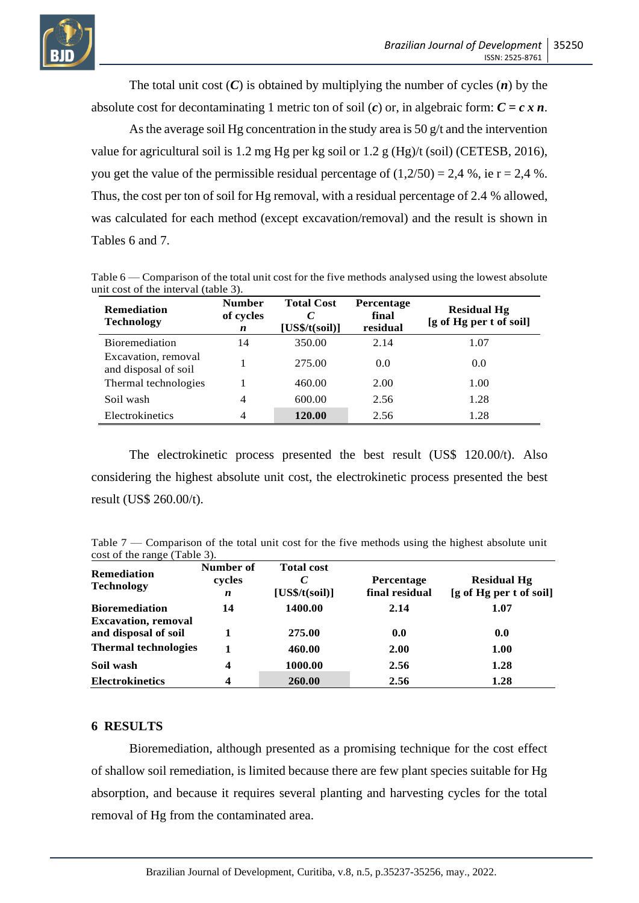

The total unit cost  $(C)$  is obtained by multiplying the number of cycles  $(n)$  by the absolute cost for decontaminating 1 metric ton of soil  $(c)$  or, in algebraic form:  $C = c \times n$ .

As the average soil Hg concentration in the study area is 50 g/t and the intervention value for agricultural soil is 1.2 mg Hg per kg soil or 1.2 g (Hg)/t (soil) (CETESB, 2016), you get the value of the permissible residual percentage of  $(1,2/50) = 2,4 %$ , ie r = 2,4%. Thus, the cost per ton of soil for Hg removal, with a residual percentage of 2.4 % allowed, was calculated for each method (except excavation/removal) and the result is shown in Tables 6 and 7.

Table 6 — Comparison of the total unit cost for the five methods analysed using the lowest absolute unit cost of the interval (table 3).

| <b>Remediation</b><br><b>Technology</b>     | <b>Number</b><br>of cycles<br>n | <b>Total Cost</b><br>[US\$/t(soil)] | <b>Percentage</b><br>final<br>residual | <b>Residual Hg</b><br>[g of Hg per t of soil] |
|---------------------------------------------|---------------------------------|-------------------------------------|----------------------------------------|-----------------------------------------------|
| <b>Bioremediation</b>                       | 14                              | 350.00                              | 2.14                                   | 1.07                                          |
| Excavation, removal<br>and disposal of soil |                                 | 275.00                              | 0.0                                    | 0.0                                           |
| Thermal technologies                        |                                 | 460.00                              | 2.00                                   | 1.00                                          |
| Soil wash                                   | 4                               | 600.00                              | 2.56                                   | 1.28                                          |
| Electrokinetics                             | 4                               | 120.00                              | 2.56                                   | 1.28                                          |

The electrokinetic process presented the best result (US\$ 120.00/t). Also considering the highest absolute unit cost, the electrokinetic process presented the best result (US\$ 260.00/t).

Table 7 — Comparison of the total unit cost for the five methods using the highest absolute unit cost of the range (Table 3).

| <b>Remediation</b><br><b>Technology</b> | Number of<br>cycles<br>n | <b>Total cost</b><br>C<br>[US\$/t(soil)] | <b>Percentage</b><br>final residual | <b>Residual Hg</b><br>[g of Hg per t of soil] |
|-----------------------------------------|--------------------------|------------------------------------------|-------------------------------------|-----------------------------------------------|
| <b>Bioremediation</b>                   | 14                       | 1400.00                                  | 2.14                                | 1.07                                          |
| <b>Excavation</b> , removal             |                          |                                          |                                     |                                               |
| and disposal of soil                    |                          | 275.00                                   | 0.0                                 | 0.0                                           |
| <b>Thermal technologies</b>             |                          | 460.00                                   | 2.00                                | 1.00                                          |
| Soil wash                               | $\overline{\mathbf{4}}$  | 1000.00                                  | 2.56                                | 1.28                                          |
| <b>Electrokinetics</b>                  | Δ                        | 260.00                                   | 2.56                                | 1.28                                          |

#### **6 RESULTS**

Bioremediation, although presented as a promising technique for the cost effect of shallow soil remediation, is limited because there are few plant species suitable for Hg absorption, and because it requires several planting and harvesting cycles for the total removal of Hg from the contaminated area.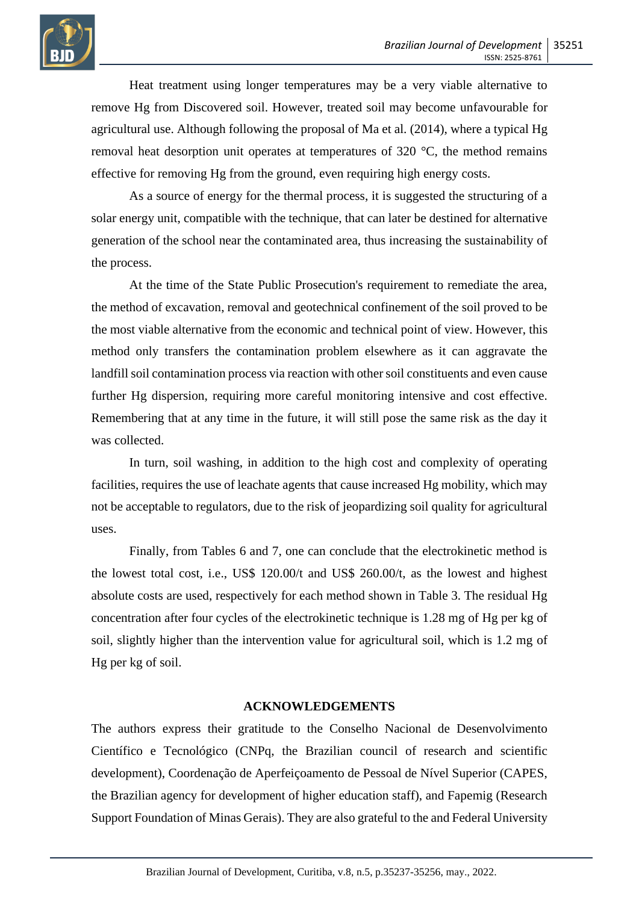

Heat treatment using longer temperatures may be a very viable alternative to remove Hg from Discovered soil. However, treated soil may become unfavourable for agricultural use. Although following the proposal of Ma et al. (2014), where a typical Hg removal heat desorption unit operates at temperatures of 320 °C, the method remains effective for removing Hg from the ground, even requiring high energy costs.

As a source of energy for the thermal process, it is suggested the structuring of a solar energy unit, compatible with the technique, that can later be destined for alternative generation of the school near the contaminated area, thus increasing the sustainability of the process.

At the time of the State Public Prosecution's requirement to remediate the area, the method of excavation, removal and geotechnical confinement of the soil proved to be the most viable alternative from the economic and technical point of view. However, this method only transfers the contamination problem elsewhere as it can aggravate the landfill soil contamination process via reaction with other soil constituents and even cause further Hg dispersion, requiring more careful monitoring intensive and cost effective. Remembering that at any time in the future, it will still pose the same risk as the day it was collected.

In turn, soil washing, in addition to the high cost and complexity of operating facilities, requires the use of leachate agents that cause increased Hg mobility, which may not be acceptable to regulators, due to the risk of jeopardizing soil quality for agricultural uses.

Finally, from Tables 6 and 7, one can conclude that the electrokinetic method is the lowest total cost, i.e., US\$ 120.00/t and US\$ 260.00/t, as the lowest and highest absolute costs are used, respectively for each method shown in Table 3. The residual Hg concentration after four cycles of the electrokinetic technique is 1.28 mg of Hg per kg of soil, slightly higher than the intervention value for agricultural soil, which is 1.2 mg of Hg per kg of soil.

#### **ACKNOWLEDGEMENTS**

The authors express their gratitude to the Conselho Nacional de Desenvolvimento Científico e Tecnológico (CNPq, the Brazilian council of research and scientific development), Coordenação de Aperfeiçoamento de Pessoal de Nível Superior (CAPES, the Brazilian agency for development of higher education staff), and Fapemig (Research Support Foundation of Minas Gerais). They are also grateful to the and Federal University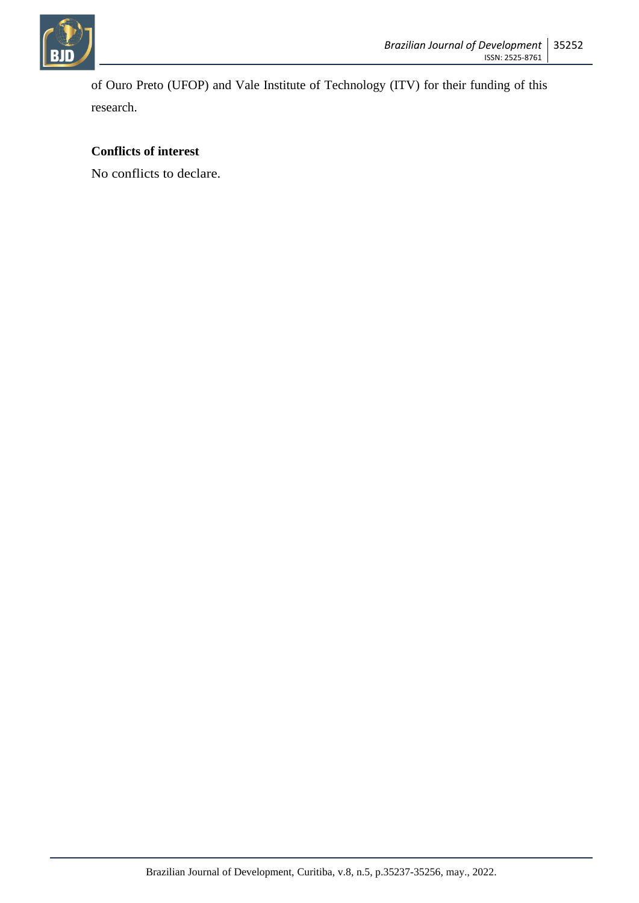

of Ouro Preto (UFOP) and Vale Institute of Technology (ITV) for their funding of this research.

## **Conflicts of interest**

No conflicts to declare.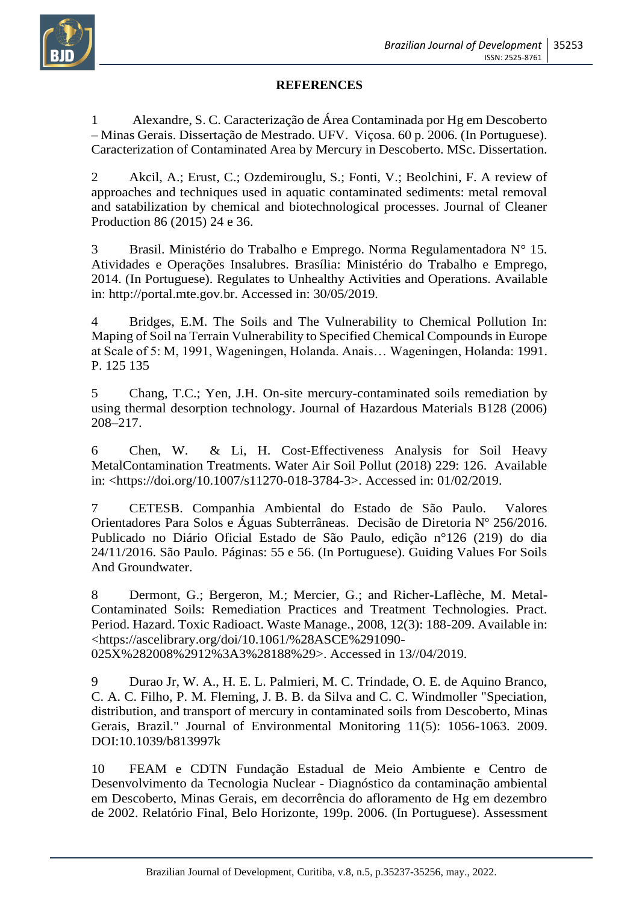

#### **REFERENCES**

1 Alexandre, S. C. Caracterização de Área Contaminada por Hg em Descoberto – Minas Gerais. Dissertação de Mestrado. UFV. Viçosa. 60 p. 2006. (In Portuguese). Caracterization of Contaminated Area by Mercury in Descoberto. MSc. Dissertation.

2 Akcil, A.; Erust, C.; Ozdemirouglu, S.; Fonti, V.; Beolchini, F. A review of approaches and techniques used in aquatic contaminated sediments: metal removal and satabilization by chemical and biotechnological processes. Journal of Cleaner Production 86 (2015) 24 e 36.

3 Brasil. Ministério do Trabalho e Emprego. Norma Regulamentadora N° 15. Atividades e Operações Insalubres. Brasília: Ministério do Trabalho e Emprego, 2014. (In Portuguese). Regulates to Unhealthy Activities and Operations. Available in: http://portal.mte.gov.br. Accessed in: 30/05/2019.

4 Bridges, E.M. The Soils and The Vulnerability to Chemical Pollution In: Maping of Soil na Terrain Vulnerability to Specified Chemical Compounds in Europe at Scale of 5: M, 1991, Wageningen, Holanda. Anais… Wageningen, Holanda: 1991. P. 125 135

5 Chang, T.C.; Yen, J.H. On-site mercury-contaminated soils remediation by using thermal desorption technology. Journal of Hazardous Materials B128 (2006) 208–217.

6 Chen, W. & Li, H. Cost-Effectiveness Analysis for Soil Heavy MetalContamination Treatments. Water Air Soil Pollut (2018) 229: 126. Available in: <https://doi.org/10.1007/s11270-018-3784-3>. Accessed in: 01/02/2019.

7 CETESB. Companhia Ambiental do Estado de São Paulo. Valores Orientadores Para Solos e Águas Subterrâneas. Decisão de Diretoria Nº 256/2016. Publicado no Diário Oficial Estado de São Paulo, edição n°126 (219) do dia 24/11/2016. São Paulo. Páginas: 55 e 56. (In Portuguese). Guiding Values For Soils And Groundwater.

8 Dermont, G.; Bergeron, M.; Mercier, G.; and Richer-Laflèche, M. Metal-Contaminated Soils: Remediation Practices and Treatment Technologies. Pract. Period. Hazard. Toxic Radioact. Waste Manage., 2008, 12(3): 188-209. Available in: <https://ascelibrary.org/doi/10.1061/%28ASCE%291090- 025X%282008%2912%3A3%28188%29>. Accessed in 13//04/2019.

9 Durao Jr, W. A., H. E. L. Palmieri, M. C. Trindade, O. E. de Aquino Branco, C. A. C. Filho, P. M. Fleming, J. B. B. da Silva and C. C. Windmoller "Speciation, distribution, and transport of mercury in contaminated soils from Descoberto, Minas Gerais, Brazil." Journal of Environmental Monitoring 11(5): 1056-1063. 2009. DOI:10.1039/b813997k

10 FEAM e CDTN Fundação Estadual de Meio Ambiente e Centro de Desenvolvimento da Tecnologia Nuclear - Diagnóstico da contaminação ambiental em Descoberto, Minas Gerais, em decorrência do afloramento de Hg em dezembro de 2002. Relatório Final, Belo Horizonte, 199p. 2006. (In Portuguese). Assessment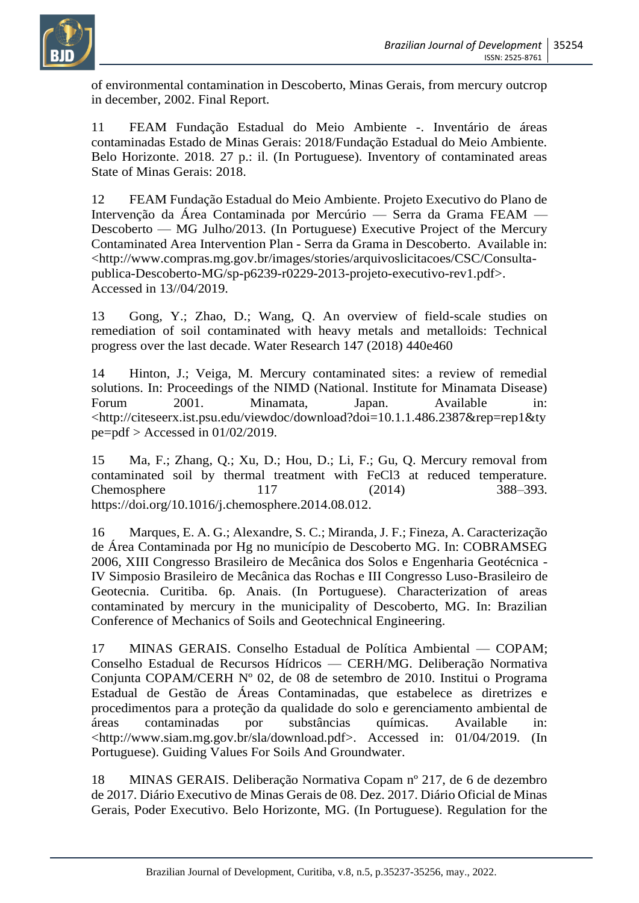

of environmental contamination in Descoberto, Minas Gerais, from mercury outcrop in december, 2002. Final Report.

11 FEAM Fundação Estadual do Meio Ambiente -. Inventário de áreas contaminadas Estado de Minas Gerais: 2018/Fundação Estadual do Meio Ambiente. Belo Horizonte. 2018. 27 p.: il. (In Portuguese). Inventory of contaminated areas State of Minas Gerais: 2018.

12 FEAM Fundação Estadual do Meio Ambiente. Projeto Executivo do Plano de Intervenção da Área Contaminada por Mercúrio — Serra da Grama FEAM — Descoberto — MG Julho/2013. (In Portuguese) Executive Project of the Mercury Contaminated Area Intervention Plan - Serra da Grama in Descoberto. Available in: <http://www.compras.mg.gov.br/images/stories/arquivoslicitacoes/CSC/Consultapublica-Descoberto-MG/sp-p6239-r0229-2013-projeto-executivo-rev1.pdf>. Accessed in 13//04/2019.

13 Gong, Y.; Zhao, D.; Wang, Q. An overview of field-scale studies on remediation of soil contaminated with heavy metals and metalloids: Technical progress over the last decade. Water Research 147 (2018) 440e460

14 Hinton, J.; Veiga, M. Mercury contaminated sites: a review of remedial solutions. In: Proceedings of the NIMD (National. Institute for Minamata Disease) Forum 2001. Minamata, Japan. Available in: <http://citeseerx.ist.psu.edu/viewdoc/download?doi=10.1.1.486.2387&rep=rep1&ty  $pe=pdf > Accessed in 01/02/2019$ .

15 Ma, F.; Zhang, Q.; Xu, D.; Hou, D.; Li, F.; Gu, Q. Mercury removal from contaminated soil by thermal treatment with FeCl3 at reduced temperature. Chemosphere 117 (2014) 388–393. https://doi.org/10.1016/j.chemosphere.2014.08.012.

16 Marques, E. A. G.; Alexandre, S. C.; Miranda, J. F.; Fineza, A. Caracterização de Área Contaminada por Hg no município de Descoberto MG. In: COBRAMSEG 2006, XIII Congresso Brasileiro de Mecânica dos Solos e Engenharia Geotécnica - IV Simposio Brasileiro de Mecânica das Rochas e III Congresso Luso-Brasileiro de Geotecnia. Curitiba. 6p. Anais. (In Portuguese). Characterization of areas contaminated by mercury in the municipality of Descoberto, MG. In: Brazilian Conference of Mechanics of Soils and Geotechnical Engineering.

17 MINAS GERAIS. Conselho Estadual de Política Ambiental — COPAM; Conselho Estadual de Recursos Hídricos — CERH/MG. Deliberação Normativa Conjunta COPAM/CERH Nº 02, de 08 de setembro de 2010. Institui o Programa Estadual de Gestão de Áreas Contaminadas, que estabelece as diretrizes e procedimentos para a proteção da qualidade do solo e gerenciamento ambiental de áreas contaminadas por substâncias químicas. Available in: <http://www.siam.mg.gov.br/sla/download.pdf>. Accessed in: 01/04/2019. (In Portuguese). Guiding Values For Soils And Groundwater.

18 MINAS GERAIS. Deliberação Normativa Copam nº 217, de 6 de dezembro de 2017. Diário Executivo de Minas Gerais de 08. Dez. 2017. Diário Oficial de Minas Gerais, Poder Executivo. Belo Horizonte, MG. (In Portuguese). Regulation for the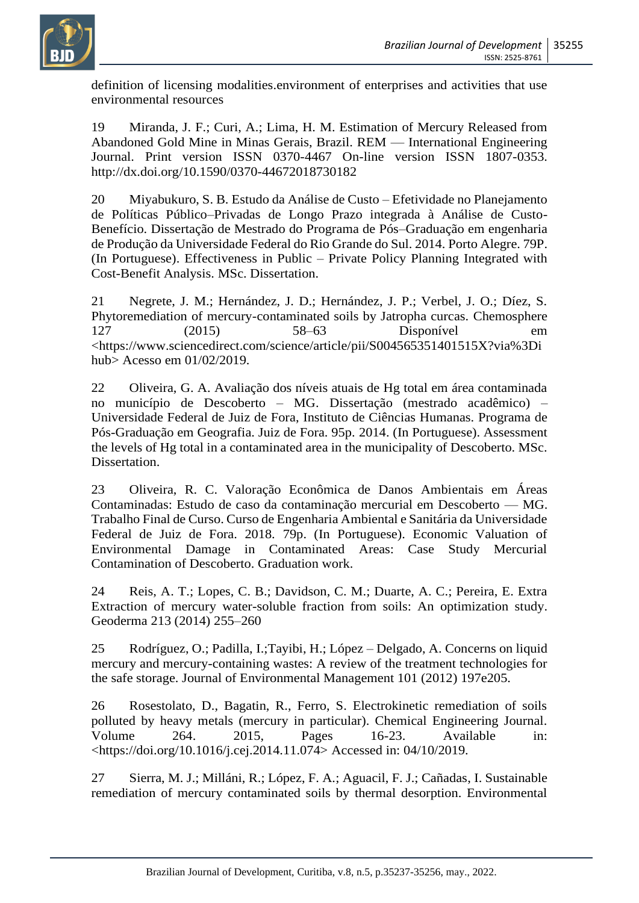

definition of licensing modalities.environment of enterprises and activities that use environmental resources

19 Miranda, J. F.; Curi, A.; Lima, H. M. Estimation of Mercury Released from Abandoned Gold Mine in Minas Gerais, Brazil. REM — International Engineering Journal. Print version ISSN 0370-4467 On-line version ISSN 1807-0353. http://dx.doi.org/10.1590/0370-44672018730182

20 Miyabukuro, S. B. Estudo da Análise de Custo – Efetividade no Planejamento de Políticas Público–Privadas de Longo Prazo integrada à Análise de Custo-Benefício. Dissertação de Mestrado do Programa de Pós–Graduação em engenharia de Produção da Universidade Federal do Rio Grande do Sul. 2014. Porto Alegre. 79P. (In Portuguese). Effectiveness in Public – Private Policy Planning Integrated with Cost-Benefit Analysis. MSc. Dissertation.

21 Negrete, J. M.; Hernández, J. D.; Hernández, J. P.; Verbel, J. O.; Díez, S. Phytoremediation of mercury-contaminated soils by Jatropha curcas. Chemosphere 127 (2015) 58–63 Disponível em <https://www.sciencedirect.com/science/article/pii/S004565351401515X?via%3Di hub> Acesso em 01/02/2019.

22 Oliveira, G. A. Avaliação dos níveis atuais de Hg total em área contaminada no município de Descoberto – MG. Dissertação (mestrado acadêmico) – Universidade Federal de Juiz de Fora, Instituto de Ciências Humanas. Programa de Pós-Graduação em Geografia. Juiz de Fora. 95p. 2014. (In Portuguese). Assessment the levels of Hg total in a contaminated area in the municipality of Descoberto. MSc. Dissertation.

23 Oliveira, R. C. Valoração Econômica de Danos Ambientais em Áreas Contaminadas: Estudo de caso da contaminação mercurial em Descoberto — MG. Trabalho Final de Curso. Curso de Engenharia Ambiental e Sanitária da Universidade Federal de Juiz de Fora. 2018. 79p. (In Portuguese). Economic Valuation of Environmental Damage in Contaminated Areas: Case Study Mercurial Contamination of Descoberto. Graduation work.

24 Reis, A. T.; Lopes, C. B.; Davidson, C. M.; Duarte, A. C.; Pereira, E. Extra Extraction of mercury water-soluble fraction from soils: An optimization study. Geoderma 213 (2014) 255–260

25 Rodríguez, O.; Padilla, I.;Tayibi, H.; López – Delgado, A. Concerns on liquid mercury and mercury-containing wastes: A review of the treatment technologies for the safe storage. Journal of Environmental Management 101 (2012) 197e205.

26 Rosestolato, D., Bagatin, R., Ferro, S. Electrokinetic remediation of soils polluted by heavy metals (mercury in particular). Chemical Engineering Journal. Volume 264. 2015, Pages 16-23. Available in: <https://doi.org/10.1016/j.cej.2014.11.074> Accessed in: 04/10/2019.

27 Sierra, M. J.; Milláni, R.; López, F. A.; Aguacil, F. J.; Cañadas, I. Sustainable remediation of mercury contaminated soils by thermal desorption. Environmental